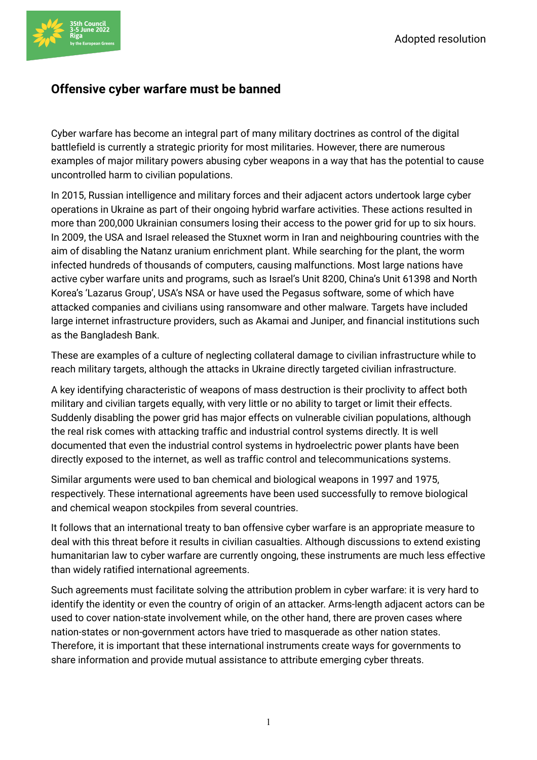

## **Offensive cyber warfare must be banned**

Cyber warfare has become an integral part of many military doctrines as control of the digital battlefield is currently a strategic priority for most militaries. However, there are numerous examples of major military powers abusing cyber weapons in a way that has the potential to cause uncontrolled harm to civilian populations.

In 2015, Russian intelligence and military forces and their adjacent actors undertook large cyber operations in Ukraine as part of their ongoing hybrid warfare activities. These actions resulted in more than 200,000 Ukrainian consumers losing their access to the power grid for up to six hours. In 2009, the USA and Israel released the Stuxnet worm in Iran and neighbouring countries with the aim of disabling the Natanz uranium enrichment plant. While searching for the plant, the worm infected hundreds of thousands of computers, causing malfunctions. Most large nations have active cyber warfare units and programs, such as Israel's Unit 8200, China's Unit 61398 and North Korea's 'Lazarus Group', USA's NSA or have used the Pegasus software, some of which have attacked companies and civilians using ransomware and other malware. Targets have included large internet infrastructure providers, such as Akamai and Juniper, and financial institutions such as the Bangladesh Bank.

These are examples of a culture of neglecting collateral damage to civilian infrastructure while to reach military targets, although the attacks in Ukraine directly targeted civilian infrastructure.

A key identifying characteristic of weapons of mass destruction is their proclivity to affect both military and civilian targets equally, with very little or no ability to target or limit their effects. Suddenly disabling the power grid has major effects on vulnerable civilian populations, although the real risk comes with attacking traffic and industrial control systems directly. It is well documented that even the industrial control systems in hydroelectric power plants have been directly exposed to the internet, as well as traffic control and telecommunications systems.

Similar arguments were used to ban chemical and biological weapons in 1997 and 1975, respectively. These international agreements have been used successfully to remove biological and chemical weapon stockpiles from several countries.

It follows that an international treaty to ban offensive cyber warfare is an appropriate measure to deal with this threat before it results in civilian casualties. Although discussions to extend existing humanitarian law to cyber warfare are currently ongoing, these instruments are much less effective than widely ratified international agreements.

Such agreements must facilitate solving the attribution problem in cyber warfare: it is very hard to identify the identity or even the country of origin of an attacker. Arms-length adjacent actors can be used to cover nation-state involvement while, on the other hand, there are proven cases where nation-states or non-government actors have tried to masquerade as other nation states. Therefore, it is important that these international instruments create ways for governments to share information and provide mutual assistance to attribute emerging cyber threats.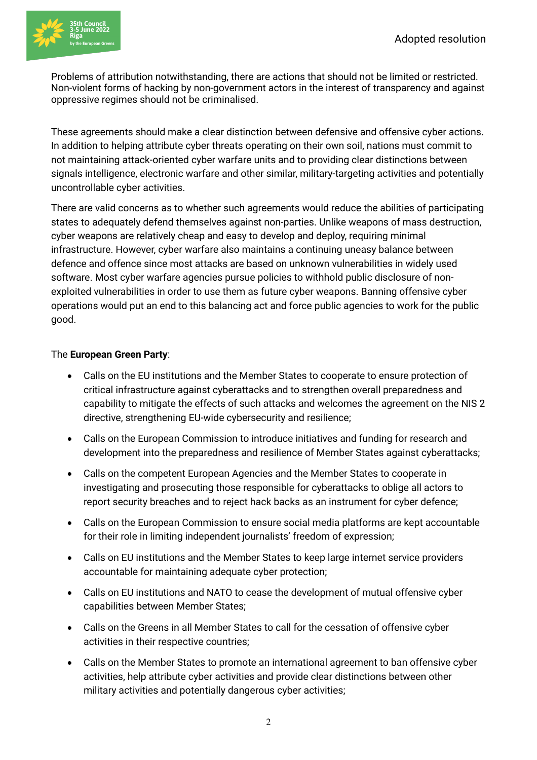

Problems of attribution notwithstanding, there are actions that should not be limited or restricted. Non-violent forms of hacking by non-government actors in the interest of transparency and against oppressive regimes should not be criminalised.

These agreements should make a clear distinction between defensive and offensive cyber actions. In addition to helping attribute cyber threats operating on their own soil, nations must commit to not maintaining attack-oriented cyber warfare units and to providing clear distinctions between signals intelligence, electronic warfare and other similar, military-targeting activities and potentially uncontrollable cyber activities.

There are valid concerns as to whether such agreements would reduce the abilities of participating states to adequately defend themselves against non-parties. Unlike weapons of mass destruction, cyber weapons are relatively cheap and easy to develop and deploy, requiring minimal infrastructure. However, cyber warfare also maintains a continuing uneasy balance between defence and offence since most attacks are based on unknown vulnerabilities in widely used software. Most cyber warfare agencies pursue policies to withhold public disclosure of nonexploited vulnerabilities in order to use them as future cyber weapons. Banning offensive cyber operations would put an end to this balancing act and force public agencies to work for the public good.

## The **European Green Party**:

- Calls on the EU institutions and the Member States to cooperate to ensure protection of critical infrastructure against cyberattacks and to strengthen overall preparedness and capability to mitigate the effects of such attacks and welcomes the agreement on the NIS 2 directive, strengthening EU-wide cybersecurity and resilience;
- Calls on the European Commission to introduce initiatives and funding for research and development into the preparedness and resilience of Member States against cyberattacks;
- Calls on the competent European Agencies and the Member States to cooperate in investigating and prosecuting those responsible for cyberattacks to oblige all actors to report security breaches and to reject hack backs as an instrument for cyber defence;
- Calls on the European Commission to ensure social media platforms are kept accountable for their role in limiting independent journalists' freedom of expression;
- Calls on EU institutions and the Member States to keep large internet service providers accountable for maintaining adequate cyber protection;
- Calls on EU institutions and NATO to cease the development of mutual offensive cyber capabilities between Member States;
- Calls on the Greens in all Member States to call for the cessation of offensive cyber activities in their respective countries;
- Calls on the Member States to promote an international agreement to ban offensive cyber activities, help attribute cyber activities and provide clear distinctions between other military activities and potentially dangerous cyber activities;